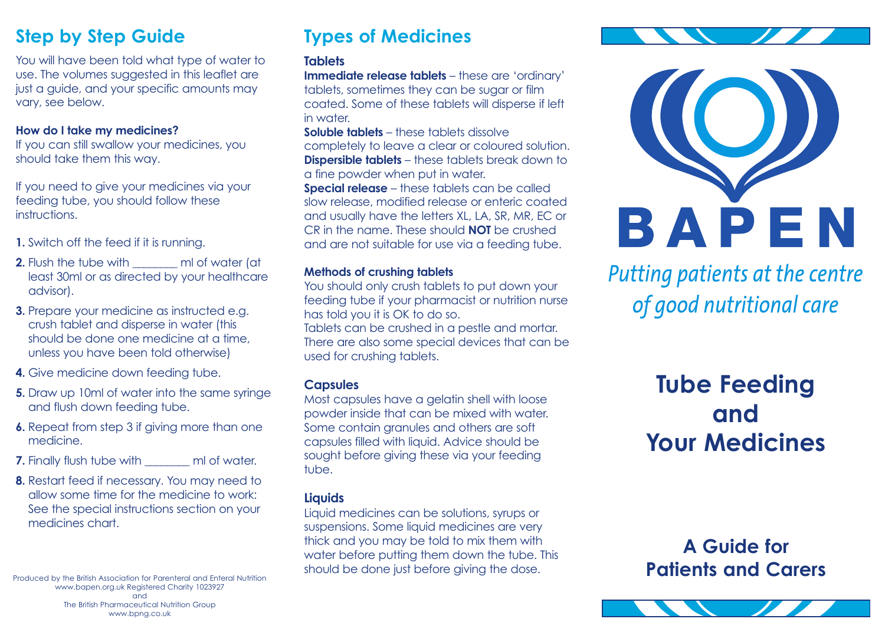### **Step by Step Guide**

You will have been told what type of water to use. The volumes suggested in this leaflet are just a guide, and your specific amounts may vary, see below.

#### **How do I take my medicines?**

If you can still swallow your medicines, you should take them this way.

If you need to give your medicines via your feeding tube, you should follow these instructions.

- **1.** Switch off the feed if it is running.
- **2.** Flush the tube with **not** ml of water (at least 30ml or as directed by your healthcare advisor).
- **3.** Prepare your medicine as instructed e.g. crush tablet and disperse in water (this should be done one medicine at a time, unless you have been told otherwise)
- **4.** Give medicine down feeding tube.
- **5.** Draw up 10ml of water into the same syringe and flush down feeding tube.
- **6.** Repeat from step 3 if giving more than one medicine.
- **7.** Finally flush tube with \_\_\_\_\_\_\_\_\_ ml of water.
- **8.** Restart feed if necessary. You may need to allow some time for the medicine to work: See the special instructions section on your medicines chart.

www.bapen.org.uk Registered Charity 1023927 and The British Pharmaceutical Nutrition Group www.bpng.co.uk

### **Types of Medicines**

#### **Tablets**

**Immediate release tablets** – these are 'ordinary' tablets, sometimes they can be sugar or film coated. Some of these tablets will disperse if left in water.

**Soluble tablets** – these tablets dissolve completely to leave a clear or coloured solution. **Dispersible tablets** – these tablets break down to a fine powder when put in water.

**Special release** – these tablets can be called slow release, modified release or enteric coated and usually have the letters XL, LA, SR, MR, EC or CR in the name. These should **NOT** be crushed and are not suitable for use via a feeding tube.

#### **Methods of crushing tablets**

You should only crush tablets to put down your feeding tube if your pharmacist or nutrition nurse has told you it is OK to do so.

Tablets can be crushed in a pestle and mortar. There are also some special devices that can be used for crushing tablets.

#### **Capsules**

Most capsules have a gelatin shell with loose powder inside that can be mixed with water. Some contain granules and others are soft capsules filled with liquid. Advice should be sought before giving these via your feeding tube.

### **Liquids**

Liquid medicines can be solutions, syrups or suspensions. Some liquid medicines are very thick and you may be told to mix them with water before putting them down the tube. This should be done just before giving the dose. Produced by the British Association for Parenteral and Enteral Nutrition



Putting patients at the centre of good nutritional care

# **Tube Feeding and Your Medicines**

**A Guide for Patients and Carers**